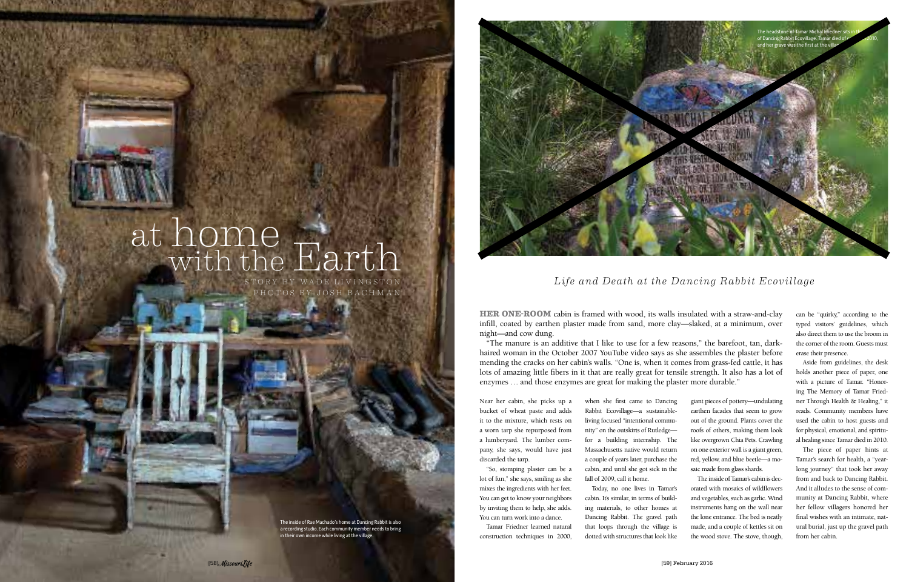The inside of Rae Machado's home at Dancing Rabbit is also a recording studio. Each community member needs to bring in their own income while living at the village.

**HER ONE-ROOM** cabin is framed with wood, its walls insulated with a straw-and-clay infill, coated by earthen plaster made from sand, more clay—slaked, at a minimum, over night—and cow dung.

"The manure is an additive that I like to use for a few reasons," the barefoot, tan, darkhaired woman in the October 2007 YouTube video says as she assembles the plaster before mending the cracks on her cabin's walls. "One is, when it comes from grass-fed cattle, it has lots of amazing little fibers in it that are really great for tensile strength. It also has a lot of enzymes … and those enzymes are great for making the plaster more durable."

Near her cabin, she picks up a bucket of wheat paste and adds it to the mixture, which rests on a worn tarp she repurposed from a lumberyard. The lumber company, she says, would have just discarded the tarp.

"So, stomping plaster can be a lot of fun," she says, smiling as she mixes the ingredients with her feet. You can get to know your neighbors by inviting them to help, she adds. You can turn work into a dance.

Tamar Friedner learned natural construction techniques in 2000,

when she first came to Dancing Rabbit Ecovillage—a sustainableliving focused "intentional community" on the outskirts of Rutledge for a building internship. The Massachusetts native would return a couple of years later, purchase the cabin, and until she got sick in the

## at home with the Earth

giant pieces of pottery—undulating earthen facades that seem to grow out of the ground. Plants cover the roofs of others, making them look like overgrown Chia Pets. Crawling on one exterior wall is a giant green, red, yellow, and blue beetle—a mosaic made from glass shards.

fall of 2009, call it home. Today, no one lives in Tamar's cabin. It's similar, in terms of building materials, to other homes at Dancing Rabbit. The gravel path that loops through the village is dotted with structures that look like The inside of Tamar's cabin is decorated with mosaics of wildflowers and vegetables, such as garlic. Wind instruments hang on the wall near the lone entrance. The bed is neatly made, and a couple of kettles sit on the wood stove. The stove, though,

STORY BY WADE LIVINGSTON **The External Life and Death at the Dancing Rabbit Ecovillage** 

can be "quirky," according to the typed visitors' guidelines, which also direct them to use the broom in the corner of the room. Guests must erase their presence.

Aside from guidelines, the desk holds another piece of paper, one with a picture of Tamar. "Honoring The Memory of Tamar Friedner Through Health & Healing," it reads. Community members have used the cabin to host guests and for physical, emotional, and spiritual healing since Tamar died in 2010.

The piece of paper hints at Tamar's search for health, a "yearlong journey" that took her away from and back to Dancing Rabbit. And it alludes to the sense of community at Dancing Rabbit, where her fellow villagers honored her final wishes with an intimate, natural burial, just up the gravel path from her cabin.



PHOTOS BY JOSH BACHMAN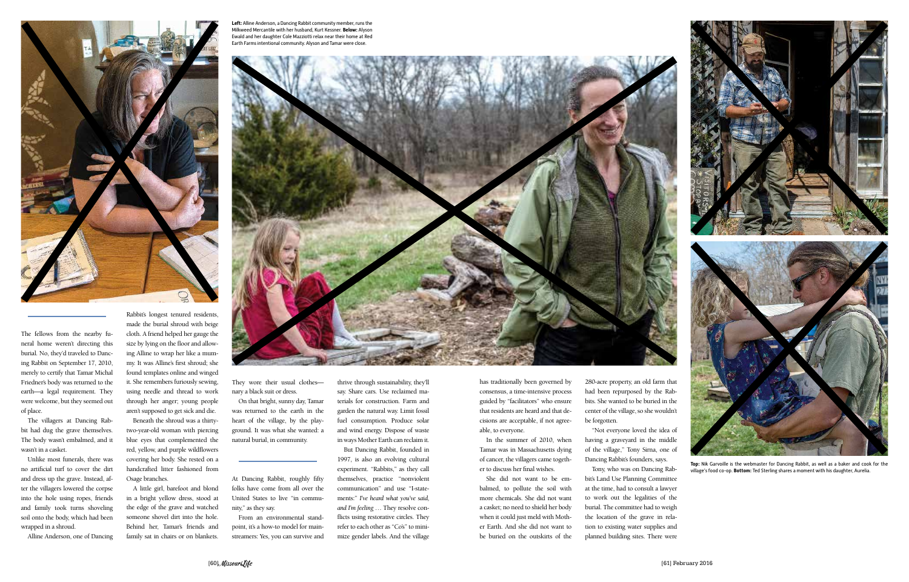

The fellows from the nearby funeral home weren't directing this burial. No, they'd traveled to Dancing Rabbit on September 17, 2010, merely to certify that Tamar Michal Friedner's body was returned to the earth—a legal requirement. They were welcome, but they seemed out of place.

The villagers at Dancing Rabbit had dug the grave themselves. The body wasn't embalmed, and it wasn't in a casket.

Unlike most funerals, there was no artificial turf to cover the dirt and dress up the grave. Instead, after the villagers lowered the corpse into the hole using ropes, friends and family took turns shoveling soil onto the body, which had been wrapped in a shroud.

Alline Anderson, one of Dancing

Rabbit's longest tenured residents, made the burial shroud with beige cloth. A friend helped her gauge the size by lying on the floor and allowing Alline to wrap her like a mummy. It was Alline's first shroud; she found templates online and winged it. She remembers furiously sewing, using needle and thread to work through her anger; young people aren't supposed to get sick and die.

Beneath the shroud was a thirtytwo-year-old woman with piercing blue eyes that complemented the red, yellow, and purple wildflowers covering her body. She rested on a handcrafted litter fashioned from Osage branches.

A little girl, barefoot and blond in a bright yellow dress, stood at the edge of the grave and watched someone shovel dirt into the hole. Behind her, Tamar's friends and family sat in chairs or on blankets.

At Dancing Rabbit, roughly fifty folks have come from all over the United States to live "in community," as they say.

From an environmental standpoint, it's a how-to model for mainstreamers: Yes, you can survive and 1997, is also an evolving cultural experiment. "Rabbits," as they call themselves, practice "nonviolent

communication" and use "I-statements:" *I've heard what you've said, and I'm feeling* … They resolve conflicts using restorative circles. They refer to each other as "Co's" to minimize gender labels. And the village



of cancer, the villagers came together to discuss her final wishes.

She did not want to be embalmed, to pollute the soil with more chemicals. She did not want a casket; no need to shield her body when it could just meld with Mother Earth. And she did not want to be buried on the outskirts of the

Dancing Rabbit's founders, says.

Tony, who was on Dancing Rabbit's Land Use Planning Committee at the time, had to consult a lawyer to work out the legalities of the burial. The committee had to weigh the location of the grave in relation to existing water supplies and planned building sites. There were

**Left:** Alline Anderson, a Dancing Rabbit community member, runs the

**Top:** Nik Garvoille is the webmaster for Dancing Rabbit, as well as a baker and cook for the village's food co-op. **Bottom:** Ted Sterling shares a moment with his daughter, Aurelia.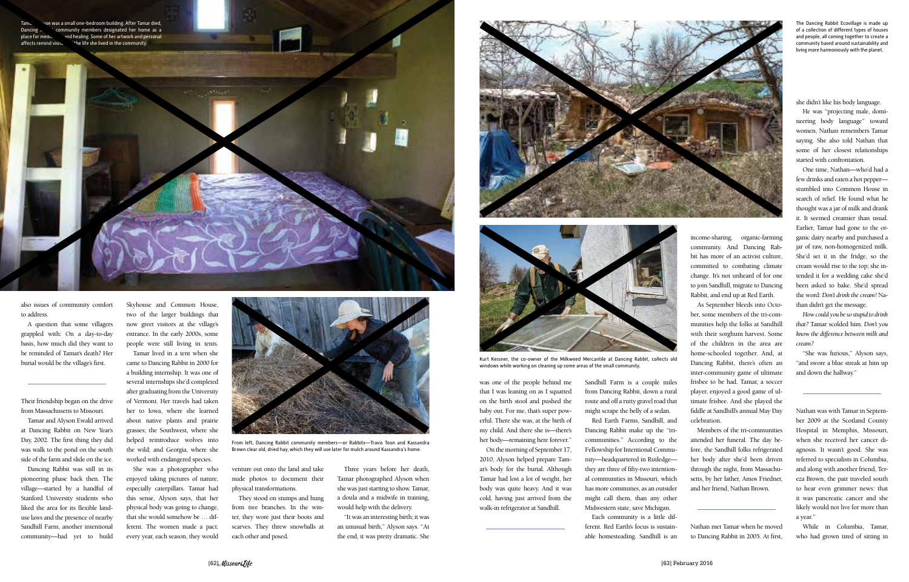ise was a small one-bedroom building. After Tamar died, Dancing  $R$   $\infty$  community members designated her home as a place for meditation and healing. Some of her artwork and personal affects remind visito in the life she lived in the community.



also issues of community comfort to address.

A question that some villagers grappled with: On a day-to-day basis, how much did they want to be reminded of Tamar's death? Her burial would be the village's first.

Their friendship began on the drive from Massachusetts to Missouri.

Tamar and Alyson Ewald arrived at Dancing Rabbit on New Year's Day, 2002. The first thing they did was walk to the pond on the south side of the farm and slide on the ice.

Dancing Rabbit was still in its pioneering phase back then. The village—started by a handful of Stanford University students who liked the area for its flexible landuse laws and the presence of nearby Sandhill Farm, another intentional community—had yet to build

Skyhouse and Common House, two of the larger buildings that now greet visitors at the village's entrance. In the early 2000s, some people were still living in tents.

Tamar lived in a tent when she came to Dancing Rabbit in 2000 for a building internship. It was one of several internships she'd completed after graduating from the University of Vermont. Her travels had taken her to Iowa, where she learned about native plants and prairie grasses; the Southwest, where she helped reintroduce wolves into the wild; and Georgia, where she worked with endangered species.

She was a photographer who enjoyed taking pictures of nature, especially caterpillars. Tamar had this sense, Alyson says, that her physical body was going to change, that she would somehow be … different. The women made a pact: every year, each season, they would venture out onto the land and take nude photos to document their physical transformations.

They stood on stumps and hung from tree branches. In the winter, they wore just their boots and scarves. They threw snowballs at each other and posed.

Three years before her death, Tamar photographed Alyson when she was just starting to show. Tamar, a doula and a midwife in training, would help with the delivery.

"It was an interesting birth; it was an unusual birth," Alyson says. "At the end, it was pretty dramatic. She



was one of the people behind me that I was leaning on as I squatted on the birth stool and pushed the baby out. For me, that's super powerful. There she was, at the birth of my child. And there she is—there's her body—remaining here forever."

On the morning of September 17, 2010, Alyson helped prepare Tamar's body for the burial. Although Tamar had lost a lot of weight, her body was quite heavy. And it was cold, having just arrived from the walk-in refrigerator at Sandhill.

Sandhill Farm is a couple miles from Dancing Rabbit, down a rural route and off a rutty gravel road that might scrape the belly of a sedan.

Red Earth Farms, Sandhill, and Dancing Rabbit make up the "tricommunities." According to the Fellowship for Intentional Community—headquartered in Rutledge they are three of fifty-two intentional communities in Missouri, which has more communes, as an outsider might call them, than any other Midwestern state, save Michigan.

Each community is a little different. Red Earth's focus is sustainable homesteading. Sandhill is an

income-sharing, organic-farming community. And Dancing Rabbit has more of an activist culture, committed to combating climate change. It's not unheard of for one to join Sandhill, migrate to Dancing Rabbit, and end up at Red Earth.

As September bleeds into October, some members of the tri-communities help the folks at Sandhill with their sorghum harvest. Some of the children in the area are home-schooled together. And, at Dancing Rabbit, there's often an inter-community game of ultimate frisbee to be had. Tamar, a soccer player, enjoyed a good game of ultimate frisbee. And she played the fiddle at Sandhill's annual May Day celebration.

Members of the tri-communities attended her funeral. The day before, the Sandhill folks refrigerated her body after she'd been driven through the night, from Massachusetts, by her father, Amos Friedner, and her friend, Nathan Brown.

Nathan met Tamar when he moved to Dancing Rabbit in 2005. At first, she didn't like his body language.

He was "projecting male, domineering body language" toward women, Nathan remembers Tamar saying. She also told Nathan that some of her closest relationships started with confrontation.

One time, Nathan—who'd had a few drinks and eaten a hot pepper stumbled into Common House in search of relief. He found what he thought was a jar of milk and drank it. It seemed creamier than usual. Earlier, Tamar had gone to the organic dairy nearby and purchased a jar of raw, non-homogenized milk. She'd set it in the fridge, so the cream would rise to the top; she intended it for a wedding cake she'd been asked to bake. She'd spread the word: *Don't drink the cream!* Nathan didn't get the message.

*How could you be so stupid to drink that?* Tamar scolded him. *Don't you know the difference between milk and cream?* 

"She was furious," Alyson says, "and swore a blue streak at him up and down the hallway."

Nathan was with Tamar in September 2009 at the Scotland County Hospital in Memphis, Missouri, when she received her cancer diagnosis. It wasn't good. She was referred to specialists in Columbia, and along with another friend, Tereza Brown, the pair traveled south to hear even grimmer news: that it was pancreatic cancer and she likely would not live for more than a year."

While in Columbia, Tamar, who had grown tired of sitting in

The Dancing Rabbit Ecovillage is made up of a collection of different types of houses and people, all coming together to create a community based around sustainability and living more harmoniously with the planet.



Kurt Kessner, the co-owner of the Milkweed Mercantile at Dancing Rabbit, collects old windows while working on cleaning up some areas of the small community.



From left, Dancing Rabbit community members—or Rabbits—Travis Toon and Kassandra Brown clear old, dried hay, which they will use later for mulch around Kassandra's home.